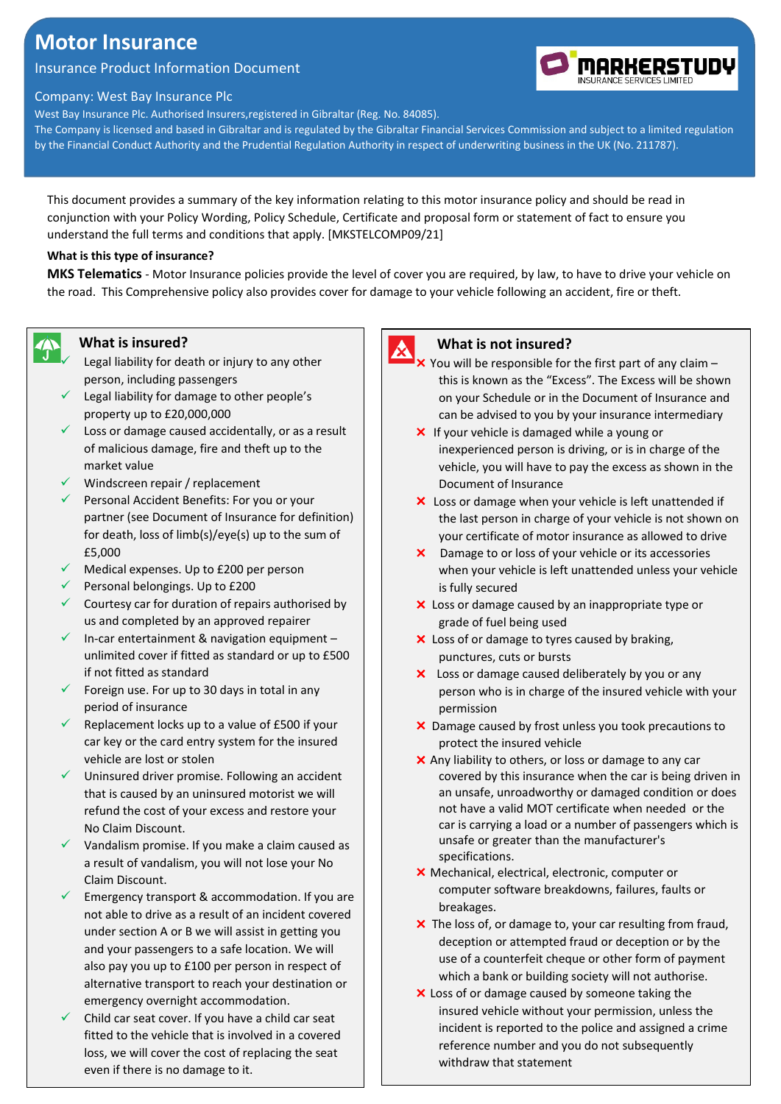# **Motor Insurance**

# Insurance Product Information Document

#### Company: West Bay Insurance Plc

West Bay Insurance Plc. Authorised Insurers,registered in Gibraltar (Reg. No. 84085).

The Company is licensed and based in Gibraltar and is regulated by the Gibraltar Financial Services Commission and subject to a limited regulation by the Financial Conduct Authority and the Prudential Regulation Authority in respect of underwriting business in the UK (No. 211787).

This document provides a summary of the key information relating to this motor insurance policy and should be read in conjunction with your Policy Wording, Policy Schedule, Certificate and proposal form or statement of fact to ensure you understand the full terms and conditions that apply. [MKSTELCOMP09/21]

#### **What is this type of insurance?**

**MKS Telematics** - Motor Insurance policies provide the level of cover you are required, by law, to have to drive your vehicle on the road. This Comprehensive policy also provides cover for damage to your vehicle following an accident, fire or theft.

#### **What is insured?**

今

- Legal liability for death or injury to any other person, including passengers
- $\checkmark$  Legal liability for damage to other people's property up to £20,000,000
- $\checkmark$  Loss or damage caused accidentally, or as a result of malicious damage, fire and theft up to the market value
- $\checkmark$  Windscreen repair / replacement
- Personal Accident Benefits: For you or your partner (see Document of Insurance for definition) for death, loss of limb(s)/eye(s) up to the sum of £5,000
- $\checkmark$  Medical expenses. Up to £200 per person
- $\checkmark$  Personal belongings. Up to £200
- $\checkmark$  Courtesy car for duration of repairs authorised by us and completed by an approved repairer
- $\checkmark$  In-car entertainment & navigation equipment unlimited cover if fitted as standard or up to £500 if not fitted as standard
- $\checkmark$  Foreign use. For up to 30 days in total in any period of insurance
- $\checkmark$  Replacement locks up to a value of £500 if your car key or the card entry system for the insured vehicle are lost or stolen
- $\checkmark$  Uninsured driver promise. Following an accident that is caused by an uninsured motorist we will refund the cost of your excess and restore your No Claim Discount.
- $\checkmark$  Vandalism promise. If you make a claim caused as a result of vandalism, you will not lose your No Claim Discount.
- $\checkmark$  Emergency transport & accommodation. If you are not able to drive as a result of an incident covered under section A or B we will assist in getting you and your passengers to a safe location. We will also pay you up to £100 per person in respect of alternative transport to reach your destination or emergency overnight accommodation.
- Child car seat cover. If you have a child car seat fitted to the vehicle that is involved in a covered loss, we will cover the cost of replacing the seat even if there is no damage to it.



#### **What is not insured?**

- $\times$  You will be responsible for the first part of any claim this is known as the "Excess". The Excess will be shown on your Schedule or in the Document of Insurance and can be advised to you by your insurance intermediary
- X If your vehicle is damaged while a young or inexperienced person is driving, or is in charge of the vehicle, you will have to pay the excess as shown in the Document of Insurance
- X Loss or damage when your vehicle is left unattended if the last person in charge of your vehicle is not shown on your certificate of motor insurance as allowed to drive
- Damage to or loss of your vehicle or its accessories when your vehicle is left unattended unless your vehicle is fully secured
- X Loss or damage caused by an inappropriate type or grade of fuel being used
- X Loss of or damage to tyres caused by braking, punctures, cuts or bursts
- Loss or damage caused deliberately by you or any person who is in charge of the insured vehicle with your permission
- X Damage caused by frost unless you took precautions to protect the insured vehicle
- X Any liability to others, or loss or damage to any car covered by this insurance when the car is being driven in an unsafe, unroadworthy or damaged condition or does not have a valid MOT certificate when needed or the car is carrying a load or a number of passengers which is unsafe or greater than the manufacturer's specifications.
- Mechanical, electrical, electronic, computer or computer software breakdowns, failures, faults or breakages.
- X The loss of, or damage to, your car resulting from fraud, deception or attempted fraud or deception or by the use of a counterfeit cheque or other form of payment which a bank or building society will not authorise.
- X Loss of or damage caused by someone taking the insured vehicle without your permission, unless the incident is reported to the police and assigned a crime reference number and you do not subsequently withdraw that statement